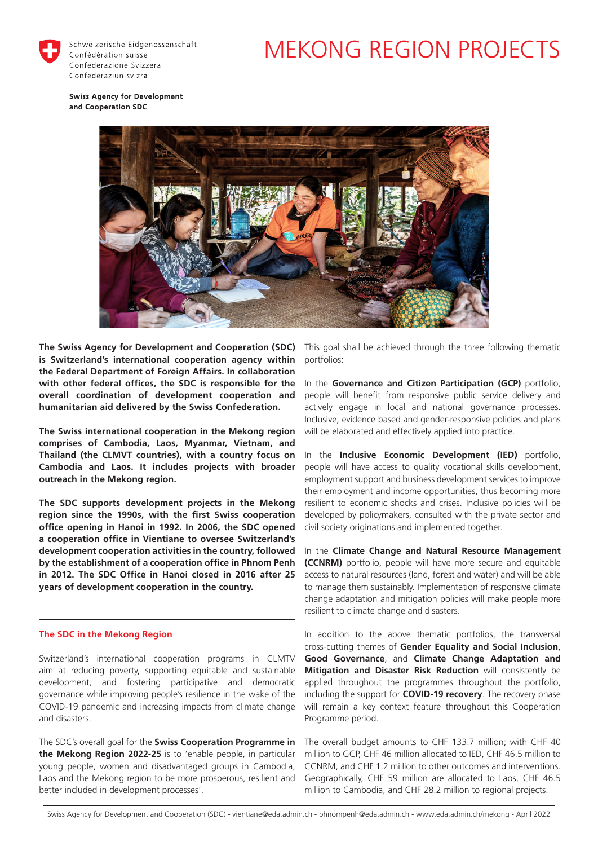

Schweizerische Eidgenossenschaft Confédération suisse Confederazione Svizzera Confederaziun svizra

# MEKONG REGION PROJECTS

**Swiss Agency for Development** and Cooperation SDC



**The Swiss Agency for Development and Cooperation (SDC)**  This goal shall be achieved through the three following thematic **is Switzerland's international cooperation agency within the Federal Department of Foreign Affairs. In collaboration with other federal offices, the SDC is responsible for the overall coordination of development cooperation and humanitarian aid delivered by the Swiss Confederation.**

**The Swiss international cooperation in the Mekong region comprises of Cambodia, Laos, Myanmar, Vietnam, and Thailand (the CLMVT countries), with a country focus on Cambodia and Laos. It includes projects with broader outreach in the Mekong region.** 

**The SDC supports development projects in the Mekong region since the 1990s, with the first Swiss cooperation office opening in Hanoi in 1992. In 2006, the SDC opened a cooperation office in Vientiane to oversee Switzerland's development cooperation activities in the country, followed by the establishment of a cooperation office in Phnom Penh in 2012. The SDC Office in Hanoi closed in 2016 after 25 years of development cooperation in the country.**

# **The SDC in the Mekong Region**

Switzerland's international cooperation programs in CLMTV aim at reducing poverty, supporting equitable and sustainable development, and fostering participative and democratic governance while improving people's resilience in the wake of the COVID-19 pandemic and increasing impacts from climate change and disasters.

The SDC's overall goal for the **Swiss Cooperation Programme in the Mekong Region 2022-25** is to 'enable people, in particular young people, women and disadvantaged groups in Cambodia, Laos and the Mekong region to be more prosperous, resilient and better included in development processes'.

portfolios:

In the **Governance and Citizen Participation (GCP)** portfolio, people will benefit from responsive public service delivery and actively engage in local and national governance processes. Inclusive, evidence based and gender-responsive policies and plans will be elaborated and effectively applied into practice.

In the **Inclusive Economic Development (IED)** portfolio, people will have access to quality vocational skills development, employment support and business development services to improve their employment and income opportunities, thus becoming more resilient to economic shocks and crises. Inclusive policies will be developed by policymakers, consulted with the private sector and civil society originations and implemented together.

In the **Climate Change and Natural Resource Management (CCNRM)** portfolio, people will have more secure and equitable access to natural resources (land, forest and water) and will be able to manage them sustainably. Implementation of responsive climate change adaptation and mitigation policies will make people more resilient to climate change and disasters.

In addition to the above thematic portfolios, the transversal cross-cutting themes of **Gender Equality and Social Inclusion**, **Good Governance**, and **Climate Change Adaptation and Mitigation and Disaster Risk Reduction** will consistently be applied throughout the programmes throughout the portfolio, including the support for **COVID-19 recovery**. The recovery phase will remain a key context feature throughout this Cooperation Programme period.

The overall budget amounts to CHF 133.7 million; with CHF 40 million to GCP, CHF 46 million allocated to IED, CHF 46.5 million to CCNRM, and CHF 1.2 million to other outcomes and interventions. Geographically, CHF 59 million are allocated to Laos, CHF 46.5 million to Cambodia, and CHF 28.2 million to regional projects.